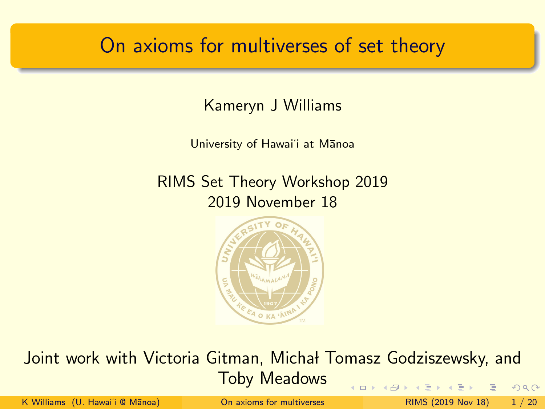### <span id="page-0-0"></span>On axioms for multiverses of set theory

Kameryn J Williams

University of Hawai'i at Manoa

RIMS Set Theory Workshop 2019 2019 November 18



Joint work with Victoria Gitman, Michał Tomasz Godziszewsky, and Toby Meadows  $2990$ (□ ) (f)

K Williams (U. Hawai'i @ Mānoa) **[On axioms for multiverses](#page-31-0)** RIMS (2019 Nov 18) 1 / 20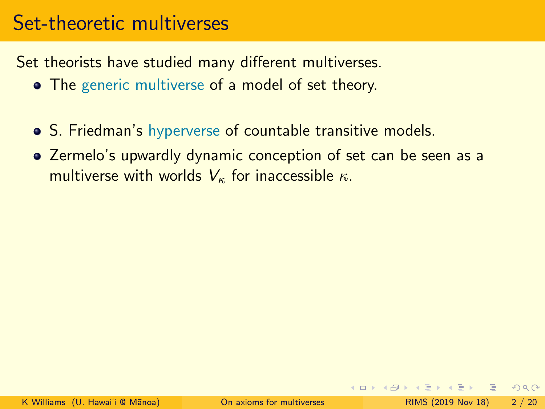# <span id="page-1-0"></span>Set-theoretic multiverses

Set theorists have studied many different multiverses.

- The generic multiverse of a model of set theory.
- S. Friedman's hyperverse of countable transitive models.
- Zermelo's upwardly dynamic conception of set can be seen as a multiverse with worlds  $V_{\kappa}$  for inaccessible  $\kappa$ .

 $\equiv$   $\cap$  a  $\sim$ 

ヨメ イヨメ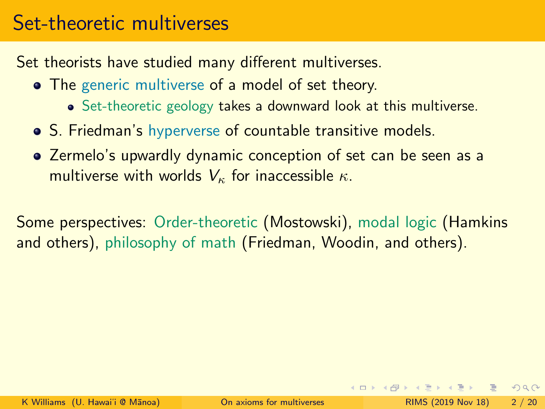# <span id="page-2-0"></span>Set-theoretic multiverses

Set theorists have studied many different multiverses.

- The generic multiverse of a model of set theory.
	- Set-theoretic geology takes a downward look at this multiverse.
- S. Friedman's hyperverse of countable transitive models.
- Zermelo's upwardly dynamic conception of set can be seen as a multiverse with worlds  $V_{\kappa}$  for inaccessible  $\kappa$ .

Some perspectives: Order-theoretic (Mostowski), modal logic (Hamkins and others), philosophy of math (Friedman, Woodin, and others).

KEL KALE KEL KEL KAR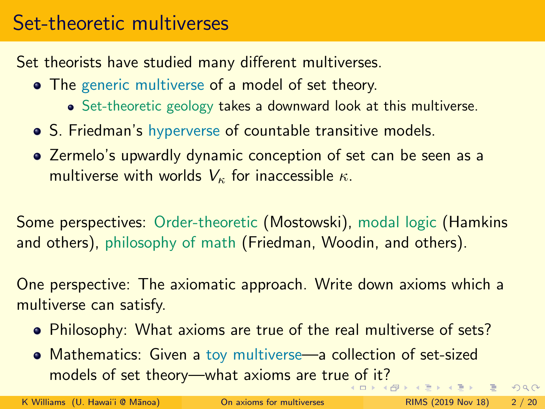# Set-theoretic multiverses

Set theorists have studied many different multiverses.

- The generic multiverse of a model of set theory.
	- Set-theoretic geology takes a downward look at this multiverse.
- S. Friedman's hyperverse of countable transitive models.
- Zermelo's upwardly dynamic conception of set can be seen as a multiverse with worlds  $V_{\kappa}$  for inaccessible  $\kappa$ .

Some perspectives: Order-theoretic (Mostowski), modal logic (Hamkins and others), philosophy of math (Friedman, Woodin, and others).

One perspective: The axiomatic approach. Write down axioms which a multiverse can satisfy.

- Philosophy: What axioms are true of the real multiverse of sets?
- Mathematics: Given a toy multiverse—a collection of set-sized models of set theory—what axioms are tru[e o](#page-2-0)f [i](#page-4-0)[t?](#page-0-0) - 로

K Williams (U. Hawai'i @ Mānoa) **[On axioms for multiverses](#page-0-0)** RIMS (2019 Nov 18) 2 / 20

 $2990$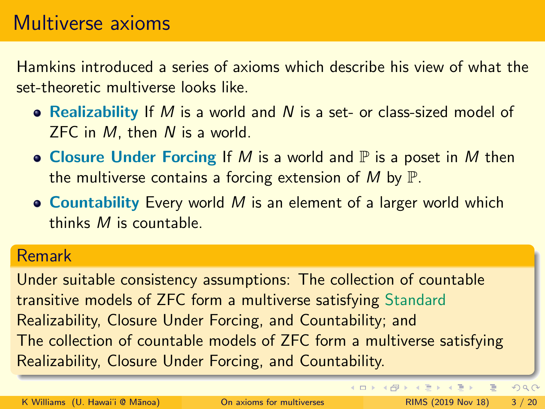### <span id="page-4-0"></span>Multiverse axioms

Hamkins introduced a series of axioms which describe his view of what the set-theoretic multiverse looks like.

- Realizability If M is a world and N is a set- or class-sized model of ZFC in M, then N is a world.
- Closure Under Forcing If M is a world and  $\mathbb P$  is a poset in M then the multiverse contains a forcing extension of M by  $\mathbb{P}$ .
- Countability Every world M is an element of a larger world which thinks M is countable.

#### Remark

Under suitable consistency assumptions: The collection of countable transitive models of ZFC form a multiverse satisfying Standard Realizability, Closure Under Forcing, and Countability; and The collection of countable models of ZFC form a multiverse satisfying Realizability, Closure Under Forcing, and Countability.

 $\equiv$ 

 $2990$ 

 $\left\{ \begin{array}{ccc} 1 & 0 & 0 \\ 0 & 1 & 0 \end{array} \right.$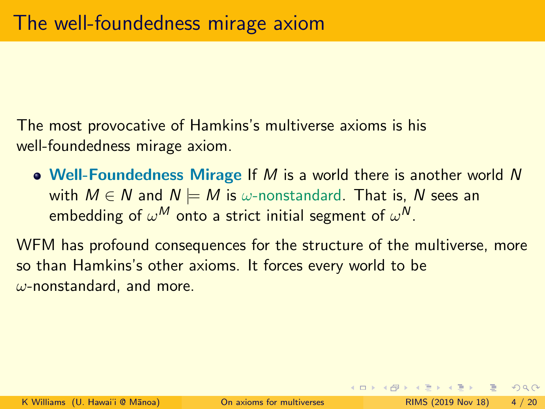The most provocative of Hamkins's multiverse axioms is his well-foundedness mirage axiom.

• Well-Foundedness Mirage If  $M$  is a world there is another world  $N$ with  $M \in N$  and  $N \models M$  is  $\omega$ -nonstandard. That is, N sees an embedding of  $\omega^\mathcal{M}$  onto a strict initial segment of  $\omega^\mathcal{N}.$ 

WFM has profound consequences for the structure of the multiverse, more so than Hamkins's other axioms. It forces every world to be  $\omega$ -nonstandard, and more.

**KOD KAD KED KED E VOOR**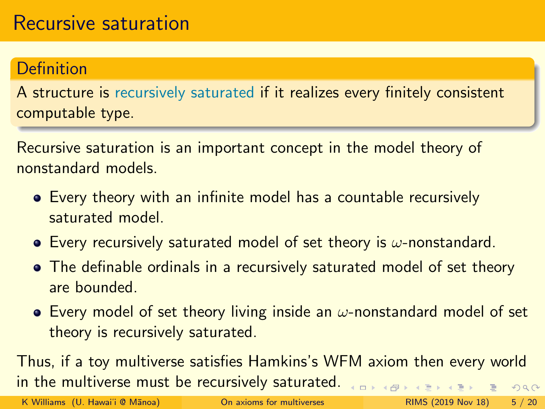### Definition

A structure is recursively saturated if it realizes every finitely consistent computable type.

Recursive saturation is an important concept in the model theory of nonstandard models.

- Every theory with an infinite model has a countable recursively saturated model.
- Every recursively saturated model of set theory is  $\omega$ -nonstandard.
- The definable ordinals in a recursively saturated model of set theory are bounded.
- **E** Every model of set theory living inside an  $\omega$ -nonstandard model of set theory is recursively saturated.

Thus, if a toy multiverse satisfies Hamkins's WFM axiom then every world in the multiverse must be recursively saturated. **←ロト ← イロト**  $QQ$ 

K Williams (U. Hawai'i @ Mānoa) **[On axioms for multiverses](#page-0-0)** RIMS (2019 Nov 18) 5 / 20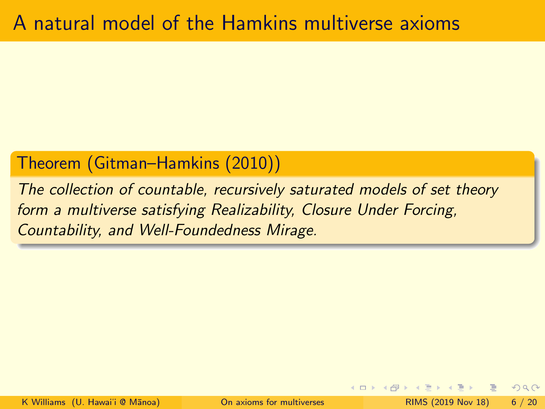### Theorem (Gitman–Hamkins (2010))

The collection of countable, recursively saturated models of set theory form a multiverse satisfying Realizability, Closure Under Forcing, Countability, and Well-Foundedness Mirage.

 $2Q$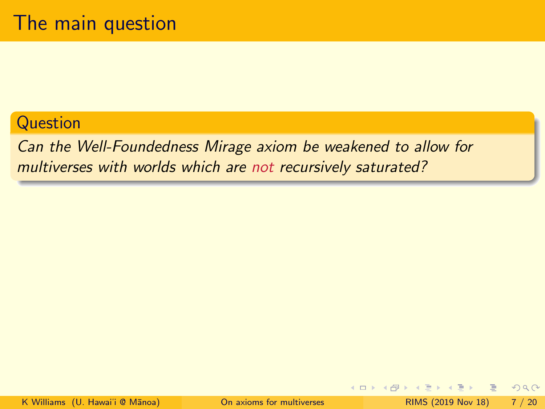#### **Question**

Can the Well-Foundedness Mirage axiom be weakened to allow for multiverses with worlds which are not recursively saturated?

目

 $QQ$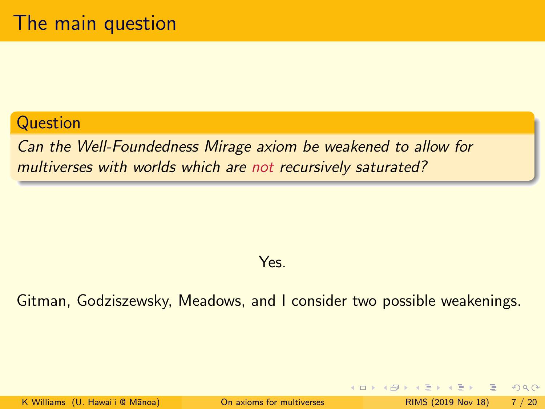#### **Question**

Can the Well-Foundedness Mirage axiom be weakened to allow for multiverses with worlds which are not recursively saturated?

#### Yes.

#### Gitman, Godziszewsky, Meadows, and I consider two possible weakenings.

K Williams (U. Hawai'i @ Mānoa) **[On axioms for multiverses](#page-0-0)** RIMS (2019 Nov 18) 7 / 20

 $QQ$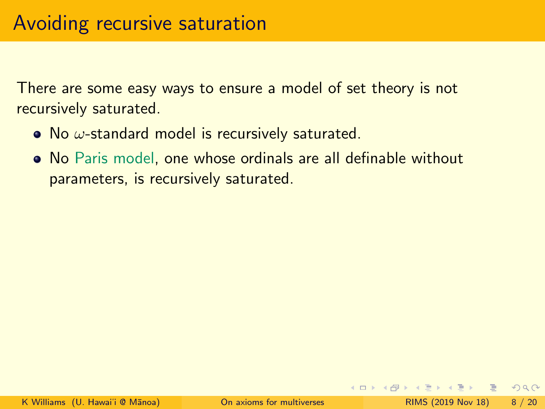- No  $\omega$ -standard model is recursively saturated.
- No Paris model, one whose ordinals are all definable without parameters, is recursively saturated.

 $\Omega$ 

4 ロ > 4 何 > 4 ミ > 4 ミ > ニョ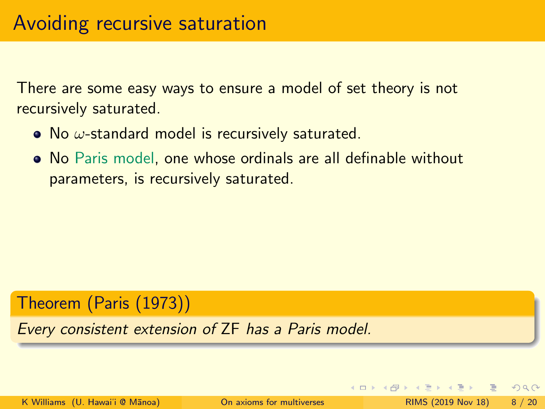- No  $\omega$ -standard model is recursively saturated.
- No Paris model, one whose ordinals are all definable without parameters, is recursively saturated.

#### Theorem (Paris (1973))

Every consistent extension of ZF has a Paris model.

K Williams (U. Hawai'i @ Mānoa) [On axioms for multiverses](#page-0-0) RIMS (2019 Nov 18) 8 / 20

 $QQ$ 

 $\rightarrow$   $\equiv$   $\rightarrow$   $\rightarrow$   $\equiv$   $\rightarrow$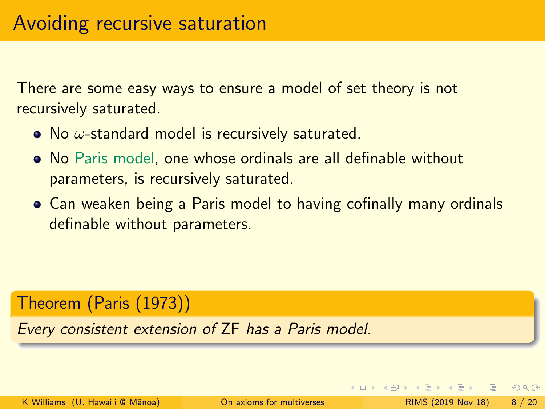- No  $\omega$ -standard model is recursively saturated.
- No Paris model, one whose ordinals are all definable without parameters, is recursively saturated.
- Can weaken being a Paris model to having cofinally many ordinals definable without parameters.

#### Theorem (Paris (1973))

Every consistent extension of ZF has a Paris model.

 $QQ$ 

 $\rightarrow$   $\equiv$   $\rightarrow$   $\rightarrow$   $\equiv$   $\rightarrow$ 

◀ □ ▶ ◀ 何 ▶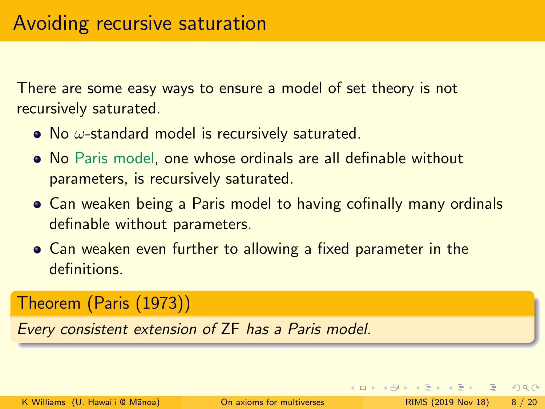- No  $\omega$ -standard model is recursively saturated.
- No Paris model, one whose ordinals are all definable without parameters, is recursively saturated.
- Can weaken being a Paris model to having cofinally many ordinals definable without parameters.
- Can weaken even further to allowing a fixed parameter in the definitions.

### Theorem (Paris (1973))

Every consistent extension of ZF has a Paris model.

 $QQ$ 

 $\rightarrow$   $\equiv$   $\rightarrow$   $\rightarrow$   $\equiv$   $\rightarrow$ 

◂□▸ ◂<del>同</del> ▸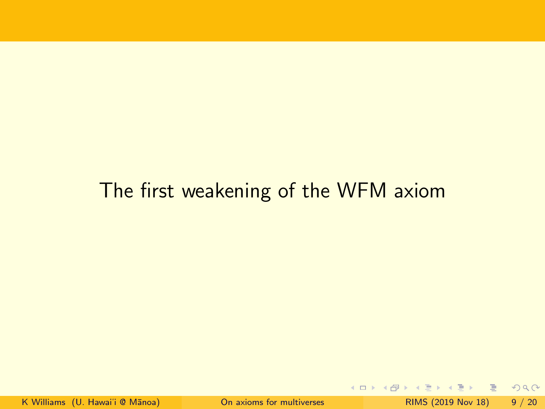# The first weakening of the WFM axiom

- 로

 $2990$ 

イロト イ部 トイヨ トイヨト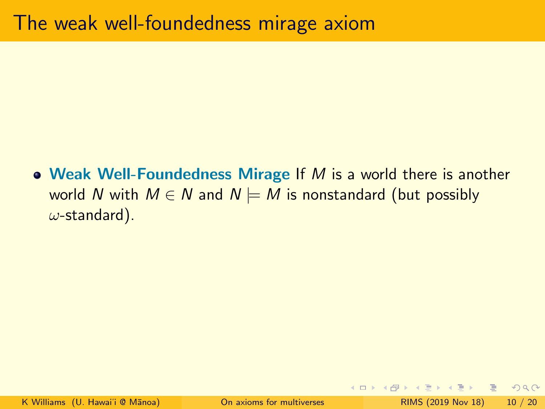• Weak Well-Foundedness Mirage If  $M$  is a world there is another world N with  $M \in N$  and  $N \models M$  is nonstandard (but possibly  $\omega$ -standard).

- 로

 $\Omega$ 

 $\rightarrow$   $\equiv$   $\rightarrow$   $\rightarrow$   $\equiv$   $\rightarrow$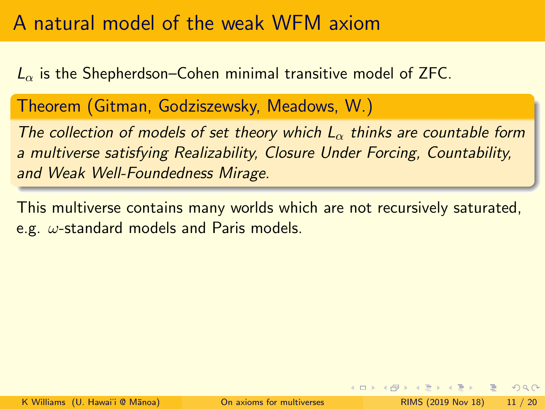# A natural model of the weak WFM axiom

 $L_{\alpha}$  is the Shepherdson–Cohen minimal transitive model of ZFC.

Theorem (Gitman, Godziszewsky, Meadows, W.)

The collection of models of set theory which  $L_{\alpha}$  thinks are countable form a multiverse satisfying Realizability, Closure Under Forcing, Countability, and Weak Well-Foundedness Mirage.

This multiverse contains many worlds which are not recursively saturated, e.g.  $\omega$ -standard models and Paris models.

 $\Omega$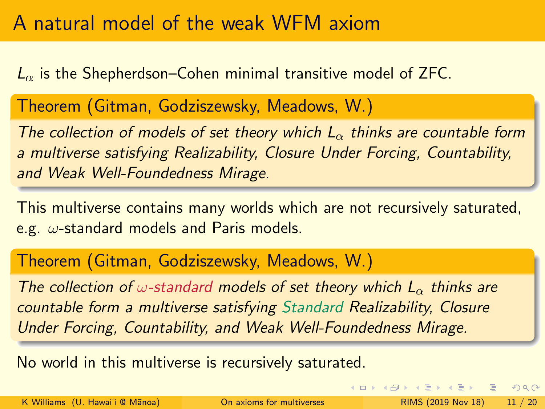# A natural model of the weak WFM axiom

 $L_{\alpha}$  is the Shepherdson–Cohen minimal transitive model of ZFC.

Theorem (Gitman, Godziszewsky, Meadows, W.)

The collection of models of set theory which  $L_{\alpha}$  thinks are countable form a multiverse satisfying Realizability, Closure Under Forcing, Countability, and Weak Well-Foundedness Mirage.

This multiverse contains many worlds which are not recursively saturated, e.g.  $\omega$ -standard models and Paris models.

Theorem (Gitman, Godziszewsky, Meadows, W.)

The collection of  $\omega$ -standard models of set theory which  $L_{\alpha}$  thinks are countable form a multiverse satisfying Standard Realizability, Closure Under Forcing, Countability, and Weak Well-Foundedness Mirage.

No world in this multiverse is recursively saturated.

K Williams (U. Hawai'i @ Mānoa) [On axioms for multiverses](#page-0-0) RIMS (2019 Nov 18) 11 / 20

 $QQ$ 

K ロ ▶ K @ ▶ K 경 ▶ K 경 ▶ 《 경 》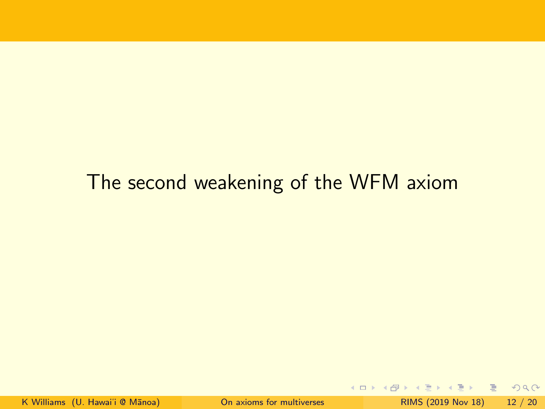# The second weakening of the WFM axiom

 $E = 990$ 

 $A \equiv \mathbf{1} \times \mathbf{1} \times \mathbf{1}$ 

**4 ロ ▶ 4 何 ▶**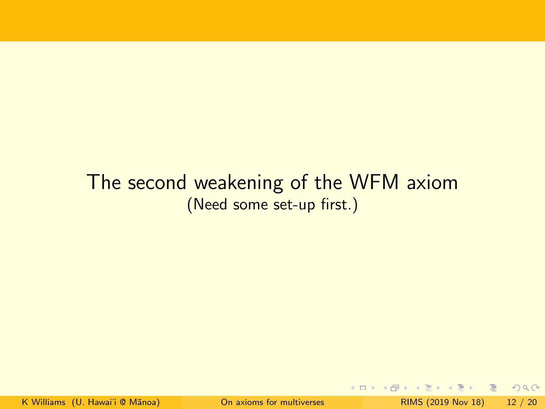### The second weakening of the WFM axiom (Need some set-up first.)

 $\blacktriangleleft$ 

高  $\eta$ are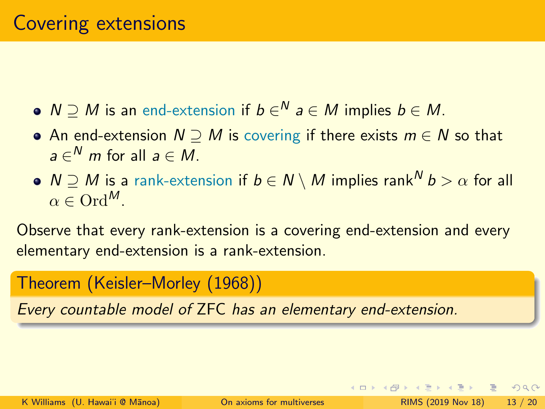- $N\supseteq M$  is an end-extension if  $b\in\!\stackrel{N}{\sim} a\in M$  implies  $b\in M.$
- An end-extension  $N \supseteq M$  is covering if there exists  $m \in N$  so that  $a\in\real^N$  m for all  $a\in M.$
- $N \supset M$  is a rank-extension if  $b \in N \setminus M$  implies rank  $b > \alpha$  for all  $\alpha \in \mathrm{Ord}^M$

Observe that every rank-extension is a covering end-extension and every elementary end-extension is a rank-extension.

Theorem (Keisler–Morley (1968))

Every countable model of ZFC has an elementary end-extension.

 $QQ$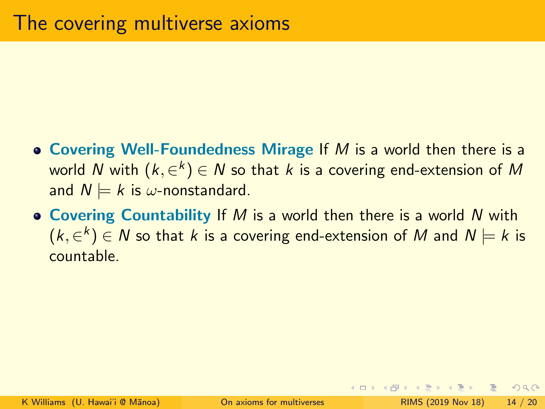- Covering Well-Foundedness Mirage If  $M$  is a world then there is a world  $N$  with  $(k,\in^k) \in N$  so that  $k$  is a covering end-extension of  $M$ and  $N \models k$  is  $\omega$ -nonstandard.
- Covering Countability If M is a world then there is a world N with  $(k,\in^k) \in \mathsf{N}$  so that  $k$  is a covering end-extension of  $\mathsf{M}$  and  $\mathsf{N} \models k$  is countable.

 $OQ$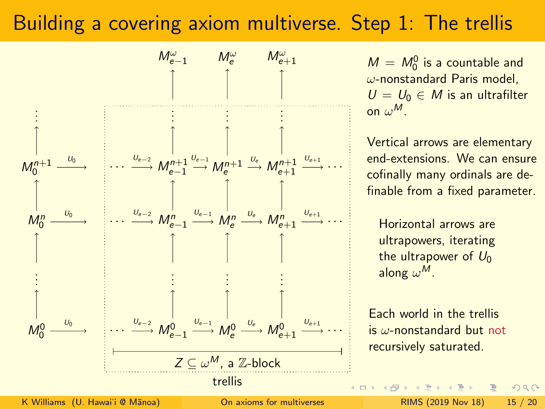# Building a covering axiom multiverse. Step 1: The trellis



 $M = M_0^0$  is a countable and  $\omega$ -nonstandard Paris model,  $U = U_0 \in M$  is an ultrafilter on  $\omega^M$ .

Vertical arrows are elementary end-extensions. We can ensure cofinally many ordinals are definable from a fixed parameter.

Horizontal arrows are ultrapowers, iterating the ultrapower of  $U_0$ along  $\omega^M$ .

Each world in the trellis is  $\omega$ -nonstandard but not recursively saturated.

 $2Q$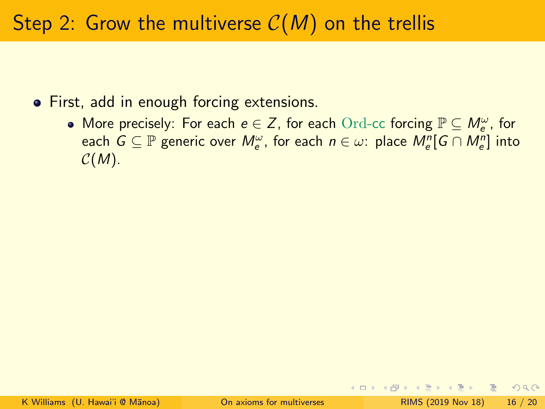# Step 2: Grow the multiverse  $C(M)$  on the trellis

- **•** First, add in enough forcing extensions.
	- More precisely: For each  $e \in Z$ , for each  $\operatorname{Ord}$ -cc forcing  $\mathbb{P} \subseteq M_e^{\omega}$ , for each  $G \subseteq \mathbb{P}$  generic over  $M_e^{\omega}$ , for each  $n \in \omega$ : place  $M_e^n[G \cap M_e^n]$  into  $C(M)$ .

 $OQ$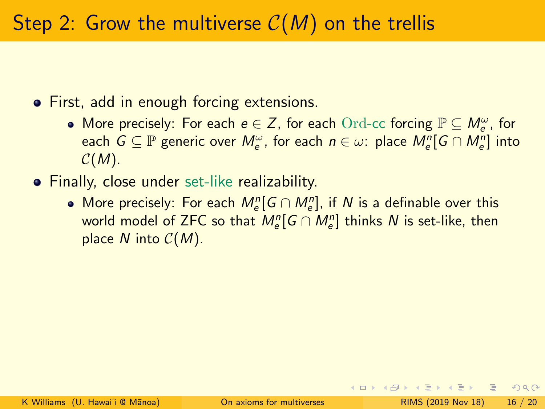**•** First, add in enough forcing extensions.

- More precisely: For each  $e \in Z$ , for each  $\operatorname{Ord}$ -cc forcing  $\mathbb{P} \subseteq M_e^{\omega}$ , for each  $G \subseteq \mathbb{P}$  generic over  $M_e^{\omega}$ , for each  $n \in \omega$ : place  $M_e^n[G \cap M_e^n]$  into  $C(M)$ .
- **•** Finally, close under set-like realizability.
	- More precisely: For each  $\mathcal{M}_e^n[G\cap \mathcal{M}_e^n]$ , if  $N$  is a definable over this world model of ZFC so that  $M^n_e[G\cap M^n_e]$  thinks  $N$  is set-like, then place  $N$  into  $C(M)$ .

 $\Omega$ 

4 ロ > 4 何 > 4 ミ > 4 ミ > ニョ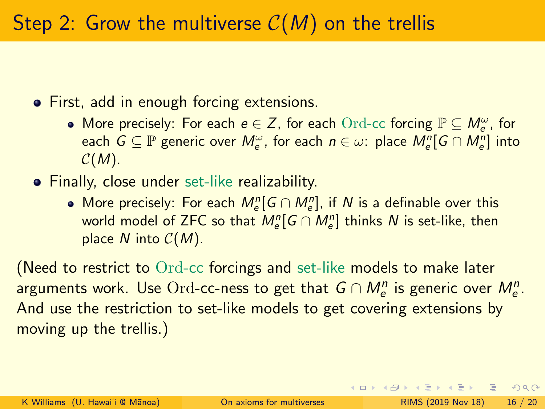**•** First, add in enough forcing extensions.

- More precisely: For each  $e \in Z$ , for each  $\operatorname{Ord}$ -cc forcing  $\mathbb{P} \subseteq M_e^{\omega}$ , for each  $G \subseteq \mathbb{P}$  generic over  $M_e^{\omega}$ , for each  $n \in \omega$ : place  $M_e^n[G \cap M_e^n]$  into  $C(M)$ .
- **•** Finally, close under set-like realizability.
	- More precisely: For each  $\mathcal{M}_e^n[G\cap \mathcal{M}_e^n]$ , if  $N$  is a definable over this world model of ZFC so that  $M^n_e[G\cap M^n_e]$  thinks  $N$  is set-like, then place  $N$  into  $C(M)$ .

(Need to restrict to Ord-cc forcings and set-like models to make later arguments work. Use  $\overline{\text{Ord-cc-ness}}$  to get that  $\overline{G} \cap M_e^n$  is generic over  $M_e^n.$ And use the restriction to set-like models to get covering extensions by moving up the trellis.)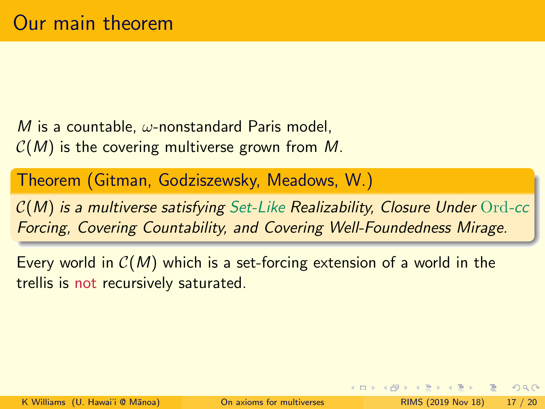M is a countable,  $\omega$ -nonstandard Paris model,  $C(M)$  is the covering multiverse grown from M.

Theorem (Gitman, Godziszewsky, Meadows, W.)

 $C(M)$  is a multiverse satisfying Set-Like Realizability, Closure Under Ord-cc Forcing, Covering Countability, and Covering Well-Foundedness Mirage.

Every world in  $C(M)$  which is a set-forcing extension of a world in the trellis is not recursively saturated.

 $QQ$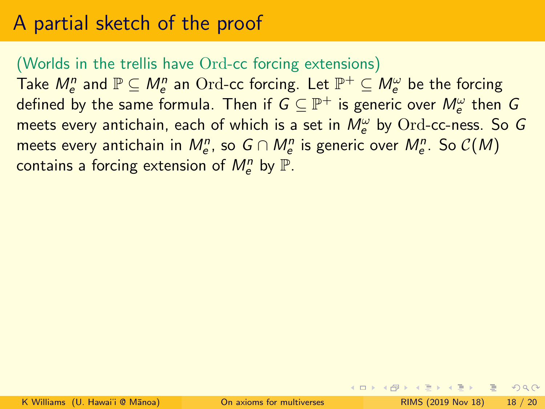# A partial sketch of the proof

#### (Worlds in the trellis have Ord-cc forcing extensions)

Take  $M_e^n$  and  $\mathbb{P} \subseteq M_e^n$  an  $\text{Ord-cc}$  forcing. Let  $\mathbb{P}^+ \subseteq M_e^\omega$  be the forcing defined by the same formula. Then if  $G \subseteq \mathbb{P}^+$  is generic over  $M_e^\omega$  then  $G$ meets every antichain, each of which is a set in  $M_e^\omega$  by  $\text{Ord-cc-ness.}$  So  $G$ meets every antichain in  $M_e^n$ , so  $G \cap M_e^n$  is generic over  $M_e^n$ . So  $\mathcal{C}(M)$ contains a forcing extension of  $M_{\mathrm{e}}^n$  by  $\mathbb{P}.$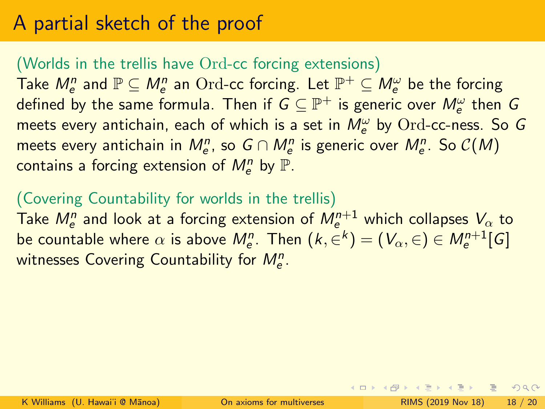# A partial sketch of the proof

#### (Worlds in the trellis have Ord-cc forcing extensions)

Take  $M_e^n$  and  $\mathbb{P} \subseteq M_e^n$  an  $\text{Ord-cc}$  forcing. Let  $\mathbb{P}^+ \subseteq M_e^\omega$  be the forcing defined by the same formula. Then if  $G \subseteq \mathbb{P}^+$  is generic over  $M_e^\omega$  then  $G$ meets every antichain, each of which is a set in  $M_e^\omega$  by  $\text{Ord-cc-ness.}$  So  $G$ meets every antichain in  $M_e^n$ , so  $G \cap M_e^n$  is generic over  $M_e^n$ . So  $\mathcal{C}(M)$ contains a forcing extension of  $M_{\mathrm{e}}^n$  by  $\mathbb{P}.$ 

#### (Covering Countability for worlds in the trellis)

Take  $M_{e}^{n}$  and look at a forcing extension of  $M_{e}^{n+1}$  which collapses  $V_{\alpha}$  to be countable where  $\alpha$  is above  $M_{\rm e}^n$ . Then  $(k,\in^k) = (V_\alpha,\in) \in M_{\rm e}^{n+1}[G]$ witnesses Covering Countability for  $M_{e}^{n}$ .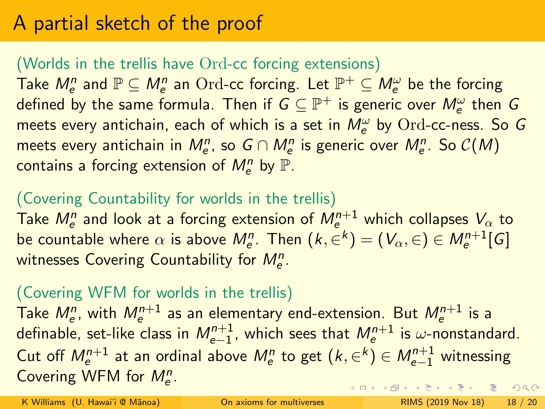# A partial sketch of the proof

#### (Worlds in the trellis have Ord-cc forcing extensions)

Take  $M_e^n$  and  $\mathbb{P} \subseteq M_e^n$  an  $\text{Ord-cc}$  forcing. Let  $\mathbb{P}^+ \subseteq M_e^\omega$  be the forcing defined by the same formula. Then if  $G \subseteq \mathbb{P}^+$  is generic over  $M_e^\omega$  then  $G$ meets every antichain, each of which is a set in  $M_e^\omega$  by  $\text{Ord-cc-ness.}$  So  $G$ meets every antichain in  $M_e^n$ , so  $G \cap M_e^n$  is generic over  $M_e^n$ . So  $\mathcal{C}(M)$ contains a forcing extension of  $M_{\mathrm{e}}^n$  by  $\mathbb{P}.$ 

#### (Covering Countability for worlds in the trellis)

Take  $M_{e}^{n}$  and look at a forcing extension of  $M_{e}^{n+1}$  which collapses  $V_{\alpha}$  to be countable where  $\alpha$  is above  $M_{\rm e}^n$ . Then  $(k,\in^k) = (V_\alpha,\in) \in M_{\rm e}^{n+1}[G]$ witnesses Covering Countability for  $M_{e}^{n}$ .

#### (Covering WFM for worlds in the trellis)

Take  $M_{e}^{n}$ , with  $M_{e}^{n+1}$  as an elementary end-extension. But  $M_{e}^{n+1}$  is a definable, set-like class in  $\mathcal{M}^{n+1}_{e-1}$ , which sees that  $\mathcal{M}^{n+1}_{e}$  is  $\omega$ -nonstandard. Cut off  $M^{n+1}_{e}$  at an ordinal above  $M^{n}_{e}$  to get  $(k,\in^{k})\in M^{n+1}_{e-1}$  witnessing Covering WFM for  $M_e^n$ . **KOD KAD KED KED E VOOR** 

K Williams (U. Hawai'i @ Mānoa) [On axioms for multiverses](#page-0-0) RIMS (2019 Nov 18) 18 / 20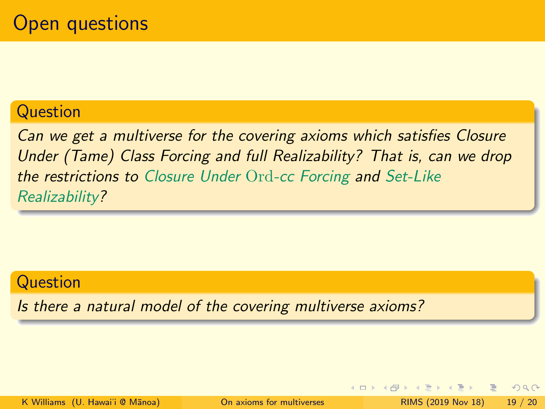#### **Question**

Can we get a multiverse for the covering axioms which satisfies Closure Under (Tame) Class Forcing and full Realizability? That is, can we drop the restrictions to Closure Under Ord-cc Forcing and Set-Like Realizability?

#### Question

Is there a natural model of the covering multiverse axioms?

◀ □ ▶ ◀ 何 ▶

 $QQ$